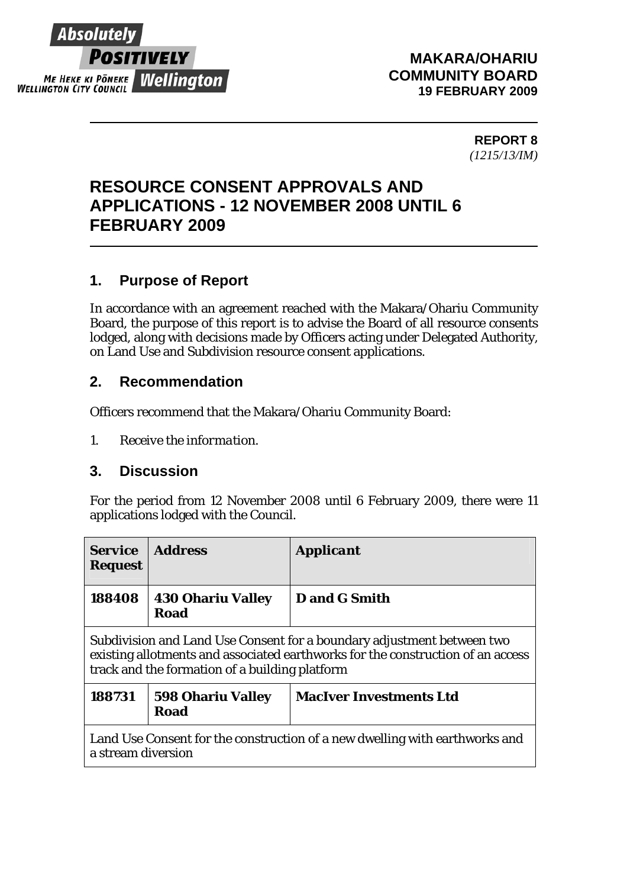

#### **MAKARA/OHARIU COMMUNITY BOARD 19 FEBRUARY 2009**

**REPORT 8**  *(1215/13/IM)* 

# **RESOURCE CONSENT APPROVALS AND APPLICATIONS - 12 NOVEMBER 2008 UNTIL 6 FEBRUARY 2009**

# **1. Purpose of Report**

In accordance with an agreement reached with the Makara/Ohariu Community Board, the purpose of this report is to advise the Board of all resource consents lodged, along with decisions made by Officers acting under Delegated Authority, on Land Use and Subdivision resource consent applications.

## **2. Recommendation**

Officers recommend that the Makara/Ohariu Community Board:

*1. Receive the information.* 

### **3. Discussion**

For the period from 12 November 2008 until 6 February 2009, there were 11 applications lodged with the Council.

| <b>Service</b><br><b>Request</b>                                                                                                                                                                            | <b>Address</b>                          | <b>Applicant</b>               |  |  |
|-------------------------------------------------------------------------------------------------------------------------------------------------------------------------------------------------------------|-----------------------------------------|--------------------------------|--|--|
| 188408                                                                                                                                                                                                      | <b>430 Ohariu Valley</b><br><b>Road</b> | D and G Smith                  |  |  |
| Subdivision and Land Use Consent for a boundary adjustment between two<br>existing allotments and associated earthworks for the construction of an access<br>track and the formation of a building platform |                                         |                                |  |  |
| 188731                                                                                                                                                                                                      | <b>598 Ohariu Valley</b><br><b>Road</b> | <b>MacIver Investments Ltd</b> |  |  |
| Land Use Consent for the construction of a new dwelling with earthworks and<br>a stream diversion                                                                                                           |                                         |                                |  |  |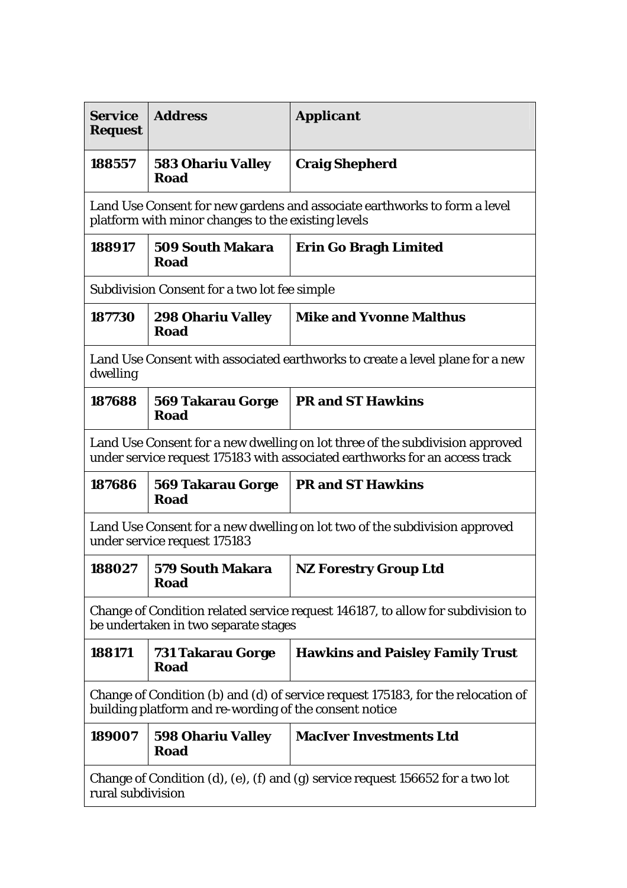| <b>Service</b><br><b>Request</b>                                                                                                                            | <b>Address</b>                          | <b>Applicant</b>                        |  |  |
|-------------------------------------------------------------------------------------------------------------------------------------------------------------|-----------------------------------------|-----------------------------------------|--|--|
| 188557                                                                                                                                                      | <b>583 Ohariu Valley</b><br>Road        | <b>Craig Shepherd</b>                   |  |  |
| Land Use Consent for new gardens and associate earthworks to form a level<br>platform with minor changes to the existing levels                             |                                         |                                         |  |  |
| 188917                                                                                                                                                      | <b>509 South Makara</b><br>Road         | <b>Erin Go Bragh Limited</b>            |  |  |
| <b>Subdivision Consent for a two lot fee simple</b>                                                                                                         |                                         |                                         |  |  |
| 187730                                                                                                                                                      | <b>298 Ohariu Valley</b><br><b>Road</b> | <b>Mike and Yvonne Malthus</b>          |  |  |
| Land Use Consent with associated earthworks to create a level plane for a new<br>dwelling                                                                   |                                         |                                         |  |  |
| 187688                                                                                                                                                      | <b>569 Takarau Gorge</b><br>Road        | <b>PR and ST Hawkins</b>                |  |  |
| Land Use Consent for a new dwelling on lot three of the subdivision approved<br>under service request 175183 with associated earthworks for an access track |                                         |                                         |  |  |
| 187686                                                                                                                                                      | <b>569 Takarau Gorge</b><br>Road        | <b>PR and ST Hawkins</b>                |  |  |
| Land Use Consent for a new dwelling on lot two of the subdivision approved<br>under service request 175183                                                  |                                         |                                         |  |  |
| 188027                                                                                                                                                      | <b>579 South Makara</b><br><b>Road</b>  | <b>NZ Forestry Group Ltd</b>            |  |  |
| Change of Condition related service request 146187, to allow for subdivision to<br>be undertaken in two separate stages                                     |                                         |                                         |  |  |
| 188171                                                                                                                                                      | 731 Takarau Gorge<br>Road               | <b>Hawkins and Paisley Family Trust</b> |  |  |
| Change of Condition (b) and (d) of service request 175183, for the relocation of<br>building platform and re-wording of the consent notice                  |                                         |                                         |  |  |
| 189007                                                                                                                                                      | <b>598 Ohariu Valley</b><br>Road        | <b>MacIver Investments Ltd</b>          |  |  |
| Change of Condition (d), (e), (f) and (g) service request 156652 for a two lot<br>rural subdivision                                                         |                                         |                                         |  |  |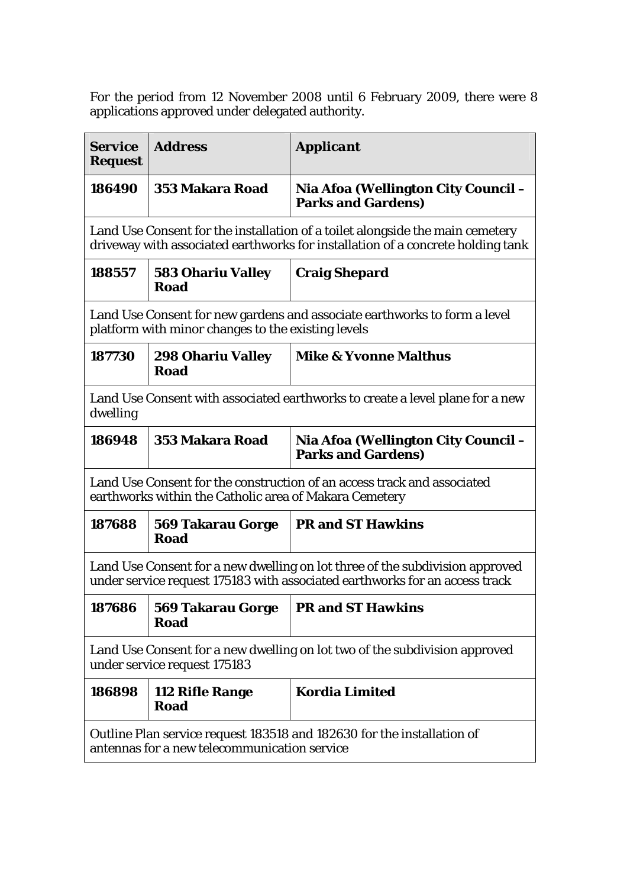For the period from 12 November 2008 until 6 February 2009, there were 8 applications approved under delegated authority.

| <b>Service</b><br><b>Request</b>                                                                                                                                 | <b>Address</b>                          | <b>Applicant</b>                                                 |  |
|------------------------------------------------------------------------------------------------------------------------------------------------------------------|-----------------------------------------|------------------------------------------------------------------|--|
| 186490                                                                                                                                                           | 353 Makara Road                         | Nia Afoa (Wellington City Council –<br><b>Parks and Gardens)</b> |  |
| Land Use Consent for the installation of a toilet alongside the main cemetery<br>driveway with associated earthworks for installation of a concrete holding tank |                                         |                                                                  |  |
| 188557                                                                                                                                                           | <b>583 Ohariu Valley</b><br><b>Road</b> | <b>Craig Shepard</b>                                             |  |
| Land Use Consent for new gardens and associate earthworks to form a level<br>platform with minor changes to the existing levels                                  |                                         |                                                                  |  |
| 187730                                                                                                                                                           | <b>298 Ohariu Valley</b><br>Road        | <b>Mike &amp; Yvonne Malthus</b>                                 |  |
| Land Use Consent with associated earthworks to create a level plane for a new<br>dwelling                                                                        |                                         |                                                                  |  |
| 186948                                                                                                                                                           | 353 Makara Road                         | Nia Afoa (Wellington City Council –<br><b>Parks and Gardens)</b> |  |
| Land Use Consent for the construction of an access track and associated<br>earthworks within the Catholic area of Makara Cemetery                                |                                         |                                                                  |  |
| 187688                                                                                                                                                           | <b>569 Takarau Gorge</b><br><b>Road</b> | <b>PR and ST Hawkins</b>                                         |  |
| Land Use Consent for a new dwelling on lot three of the subdivision approved<br>under service request 175183 with associated earthworks for an access track      |                                         |                                                                  |  |
| 187686                                                                                                                                                           | <b>569 Takarau Gorge</b><br>Road        | <b>PR and ST Hawkins</b>                                         |  |
| Land Use Consent for a new dwelling on lot two of the subdivision approved<br>under service request 175183                                                       |                                         |                                                                  |  |
| 186898                                                                                                                                                           | 112 Rifle Range<br>Road                 | <b>Kordia Limited</b>                                            |  |
| Outline Plan service request 183518 and 182630 for the installation of<br>antennas for a new telecommunication service                                           |                                         |                                                                  |  |